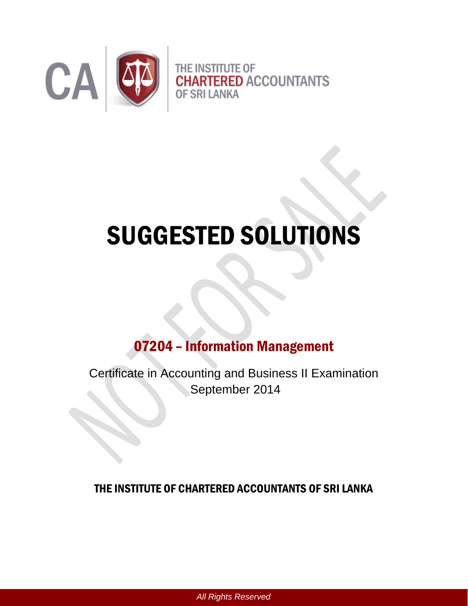

# SUGGESTED SOLUTIONS

# 07204 – Information Management

Certificate in Accounting and Business II Examination September 2014

## THE INSTITUTE OF CHARTERED ACCOUNTANTS OF SRI LANKA

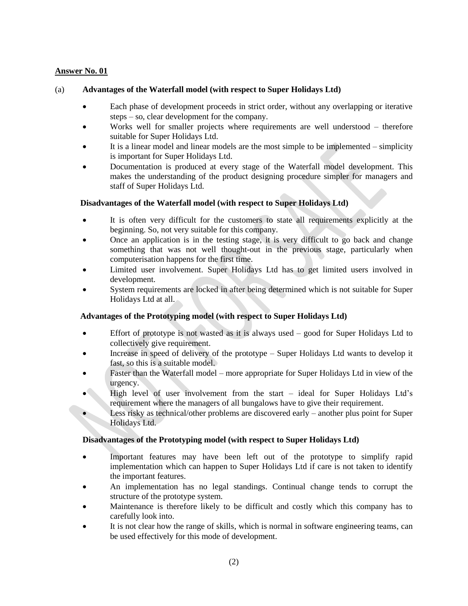#### (a) **Advantages of the Waterfall model (with respect to Super Holidays Ltd)**

- Each phase of development proceeds in strict order, without any overlapping or iterative steps – so, clear development for the company.
- Works well for smaller projects where requirements are well understood therefore suitable for Super Holidays Ltd.
- It is a linear model and linear models are the most simple to be implemented simplicity is important for Super Holidays Ltd.
- Documentation is produced at every stage of the Waterfall model development. This makes the understanding of the product designing procedure simpler for managers and staff of Super Holidays Ltd.

#### **Disadvantages of the Waterfall model (with respect to Super Holidays Ltd)**

- It is often very difficult for the customers to state all requirements explicitly at the beginning. So, not very suitable for this company.
- Once an application is in the testing stage, it is very difficult to go back and change something that was not well thought-out in the previous stage, particularly when computerisation happens for the first time.
- Limited user involvement. Super Holidays Ltd has to get limited users involved in development.
- System requirements are locked in after being determined which is not suitable for Super Holidays Ltd at all.

#### **Advantages of the Prototyping model (with respect to Super Holidays Ltd)**

- Effort of prototype is not wasted as it is always used good for Super Holidays Ltd to collectively give requirement.
- Increase in speed of delivery of the prototype Super Holidays Ltd wants to develop it fast, so this is a suitable model.
- Faster than the Waterfall model more appropriate for Super Holidays Ltd in view of the urgency.
- High level of user involvement from the start ideal for Super Holidays Ltd's requirement where the managers of all bungalows have to give their requirement.
- Less risky as technical/other problems are discovered early another plus point for Super Holidays Ltd.

#### **Disadvantages of the Prototyping model (with respect to Super Holidays Ltd)**

- Important features may have been left out of the prototype to simplify rapid implementation which can happen to Super Holidays Ltd if care is not taken to identify the important features.
- An implementation has no legal standings. Continual change tends to corrupt the structure of the prototype system.
- Maintenance is therefore likely to be difficult and costly which this company has to carefully look into.
- It is not clear how the range of skills, which is normal in software engineering teams, can be used effectively for this mode of development.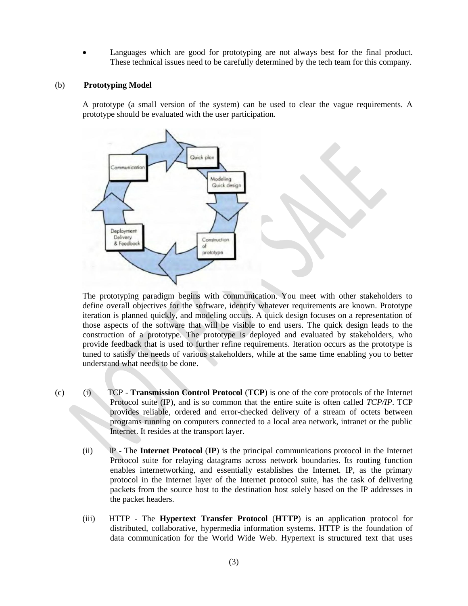Languages which are good for prototyping are not always best for the final product. These technical issues need to be carefully determined by the tech team for this company.

#### (b) **Prototyping Model**

A prototype (a small version of the system) can be used to clear the vague requirements. A prototype should be evaluated with the user participation.



The prototyping paradigm begins with communication. You meet with other stakeholders to define overall objectives for the software, identify whatever requirements are known. Prototype iteration is planned quickly, and modeling occurs. A quick design focuses on a representation of those aspects of the software that will be visible to end users. The quick design leads to the construction of a prototype. The prototype is deployed and evaluated by stakeholders, who provide feedback that is used to further refine requirements. Iteration occurs as the prototype is tuned to satisfy the needs of various stakeholders, while at the same time enabling you to better understand what needs to be done.

- (c) (i) TCP **Transmission Control Protocol** (**TCP**) is one of the core protocols of the Internet Protocol suite (IP), and is so common that the entire suite is often called *TCP/IP*. TCP provides reliable, ordered and error-checked delivery of a stream of octets between programs running on computers connected to a local area network, intranet or the public Internet. It resides at the transport layer.
	- (ii) IP The **Internet Protocol** (**IP**) is the principal communications protocol in the Internet Protocol suite for relaying datagrams across network boundaries. Its routing function enables internetworking, and essentially establishes the Internet. IP, as the primary protocol in the Internet layer of the Internet protocol suite, has the task of delivering packets from the source host to the destination host solely based on the IP addresses in the packet headers.
	- (iii) HTTP The **Hypertext Transfer Protocol** (**HTTP**) is an application protocol for distributed, collaborative, hypermedia information systems. HTTP is the foundation of data communication for the World Wide Web. [Hypertext](http://en.wikipedia.org/wiki/Hypertext) is structured text that uses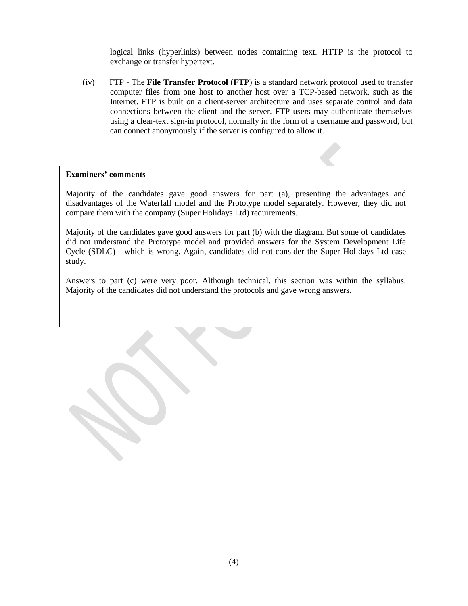logical links [\(hyperlinks\)](http://en.wikipedia.org/wiki/Hyperlinks) between [nodes](http://en.wikipedia.org/wiki/Node_%28computer_science%29) containing text. HTTP is the protocol to exchange or transfer hypertext.

(iv) FTP - The **File Transfer Protocol** (**FTP**) is a standard network protocol used to transfer [computer files](http://en.wikipedia.org/wiki/Computer_file) from one [host](http://en.wikipedia.org/wiki/Host_%28network%29) to another host over a [TCP-](http://en.wikipedia.org/wiki/Transmission_Control_Protocol)based network, such as the [Internet.](http://en.wikipedia.org/wiki/Internet) FTP is built on a [client-server](http://en.wikipedia.org/wiki/Client-server_model) architecture and uses separate control and data connections between the client and the server. FTP users may authenticate themselves using a clear-text sign-in protocol, normally in the form of a username and password, but can connect anonymously if the server is configured to allow it.

#### **Examiners' comments**

Majority of the candidates gave good answers for part (a), presenting the advantages and disadvantages of the Waterfall model and the Prototype model separately. However, they did not compare them with the company (Super Holidays Ltd) requirements.

Majority of the candidates gave good answers for part (b) with the diagram. But some of candidates did not understand the Prototype model and provided answers for the System Development Life Cycle (SDLC) - which is wrong. Again, candidates did not consider the Super Holidays Ltd case study.

Answers to part (c) were very poor. Although technical, this section was within the syllabus. Majority of the candidates did not understand the protocols and gave wrong answers.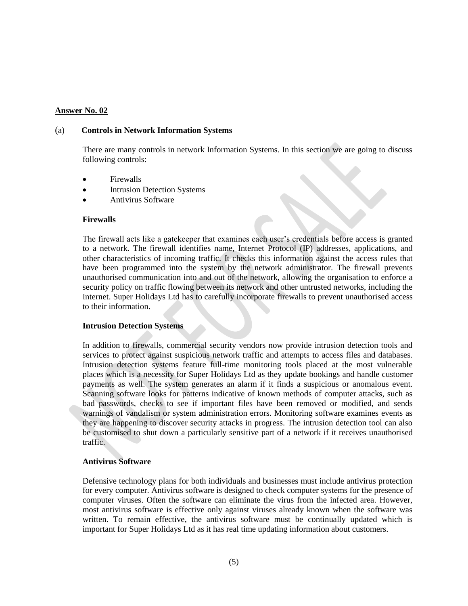#### (a) **Controls in Network Information Systems**

There are many controls in network Information Systems. In this section we are going to discuss following controls:

- Firewalls
- Intrusion Detection Systems
- Antivirus Software

#### **Firewalls**

The firewall acts like a gatekeeper that examines each user's credentials before access is granted to a network. The firewall identifies name, Internet Protocol (IP) addresses, applications, and other characteristics of incoming traffic. It checks this information against the access rules that have been programmed into the system by the network administrator. The firewall prevents unauthorised communication into and out of the network, allowing the organisation to enforce a security policy on traffic flowing between its network and other untrusted networks, including the Internet. Super Holidays Ltd has to carefully incorporate firewalls to prevent unauthorised access to their information.

#### **Intrusion Detection Systems**

In addition to firewalls, commercial security vendors now provide intrusion detection tools and services to protect against suspicious network traffic and attempts to access files and databases. Intrusion detection systems feature full-time monitoring tools placed at the most vulnerable places which is a necessity for Super Holidays Ltd as they update bookings and handle customer payments as well. The system generates an alarm if it finds a suspicious or anomalous event. Scanning software looks for patterns indicative of known methods of computer attacks, such as bad passwords, checks to see if important files have been removed or modified, and sends warnings of vandalism or system administration errors. Monitoring software examines events as they are happening to discover security attacks in progress. The intrusion detection tool can also be customised to shut down a particularly sensitive part of a network if it receives unauthorised traffic.

#### **Antivirus Software**

Defensive technology plans for both individuals and businesses must include antivirus protection for every computer. Antivirus software is designed to check computer systems for the presence of computer viruses. Often the software can eliminate the virus from the infected area. However, most antivirus software is effective only against viruses already known when the software was written. To remain effective, the antivirus software must be continually updated which is important for Super Holidays Ltd as it has real time updating information about customers.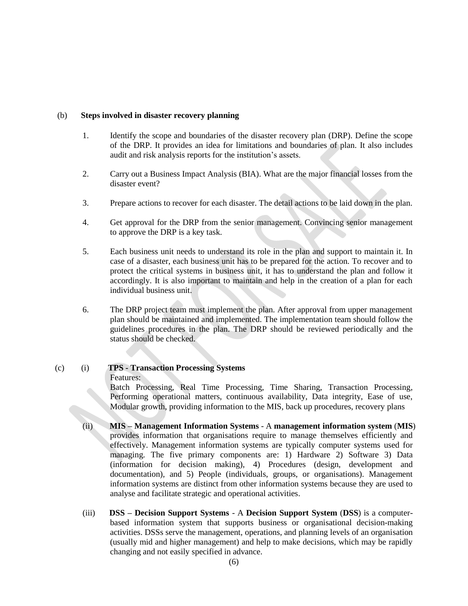#### (b) **Steps involved in disaster recovery planning**

- 1. Identify the scope and boundaries of the disaster recovery plan (DRP). Define the scope of the DRP. It provides an idea for limitations and boundaries of plan. It also includes audit and risk analysis reports for the institution's assets.
- 2. Carry out a Business Impact Analysis (BIA). What are the major financial losses from the disaster event?
- 3. Prepare actions to recover for each disaster. The detail actions to be laid down in the plan.
- 4. Get approval for the DRP from the senior management. Convincing senior management to approve the DRP is a key task.
- 5. Each business unit needs to understand its role in the plan and support to maintain it. In case of a disaster, each business unit has to be prepared for the action. To recover and to protect the critical systems in business unit, it has to understand the plan and follow it accordingly. It is also important to maintain and help in the creation of a plan for each individual business unit.
- 6. The DRP project team must implement the plan. After approval from upper management plan should be maintained and implemented. The implementation team should follow the guidelines procedures in the plan. The DRP should be reviewed periodically and the status should be checked.

#### (c) (i) **TPS - Transaction Processing Systems**

#### Features:

Batch Processing, Real Time Processing, Time Sharing, Transaction Processing, Performing operational matters, continuous availability, Data integrity, Ease of use, Modular growth, providing information to the MIS, back up procedures, recovery plans

- (ii) **MIS – Management Information Systems** A **management information system** (**MIS**) provides information that organisations require to manage themselves efficiently and effectively. Management information systems are typically computer systems used for managing. The five primary components are: 1) Hardware 2) Software 3) Data (information for decision making), 4) Procedures (design, development and documentation), and 5) People (individuals, groups, or organisations). Management information systems are distinct from other information systems because they are used to analyse and facilitate strategic and operational activities.
- (iii) **DSS – Decision Support Systems**  A **Decision Support System** (**DSS**) is a computerbased information system that supports business or organisational decision-making activities. DSSs serve the management, operations, and planning levels of an organisation (usually mid and higher management) and help to make decisions, which may be rapidly changing and not easily specified in advance.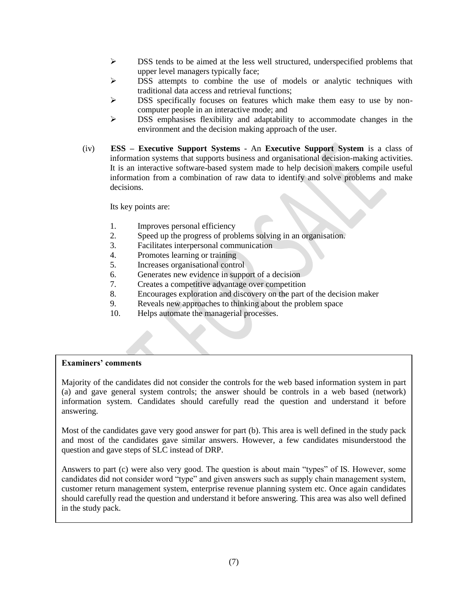- $\triangleright$  DSS tends to be aimed at the less well structured, underspecified problems that upper level managers typically face;
- $\triangleright$  DSS attempts to combine the use of models or analytic techniques with traditional data access and retrieval functions;
- $\triangleright$  DSS specifically focuses on features which make them easy to use by noncomputer people in an interactive mode; and
- $\triangleright$  DSS emphasises flexibility and adaptability to accommodate changes in the environment and the decision making approach of the user.
- (iv) **ESS – Executive Support Systems** An **Executive Support System** is a class of information systems that supports business and organisational decision-making activities. It is an interactive software-based system made to help decision makers compile useful information from a combination of raw data to identify and solve problems and make decisions.

Its key points are:

- 1. Improves personal efficiency
- 2. Speed up the progress of problems solving in an organisation.
- 3. Facilitates interpersonal communication
- 4. Promotes learning or training
- 5. Increases organisational control
- 6. Generates new evidence in support of a decision
- 7. Creates a competitive advantage over competition
- 8. Encourages exploration and discovery on the part of the decision maker
- 9. Reveals new approaches to thinking about the problem space
- 10. Helps automate the managerial processes.

#### **Examiners' comments**

Majority of the candidates did not consider the controls for the web based information system in part (a) and gave general system controls; the answer should be controls in a web based (network) information system. Candidates should carefully read the question and understand it before answering.

Most of the candidates gave very good answer for part (b). This area is well defined in the study pack and most of the candidates gave similar answers. However, a few candidates misunderstood the question and gave steps of SLC instead of DRP.

Answers to part (c) were also very good. The question is about main "types" of IS. However, some candidates did not consider word "type" and given answers such as supply chain management system, customer return management system, enterprise revenue planning system etc. Once again candidates should carefully read the question and understand it before answering. This area was also well defined in the study pack.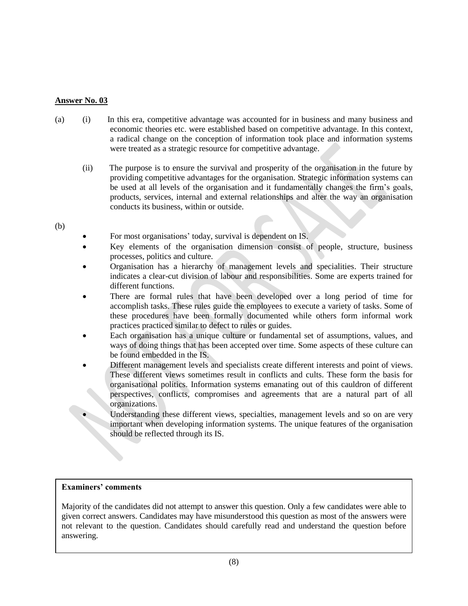- (a) (i) In this era, competitive advantage was accounted for in business and many business and economic theories etc. were established based on competitive advantage. In this context, a radical change on the conception of information took place and information systems were treated as a strategic resource for competitive advantage.
	- (ii) The purpose is to ensure the survival and prosperity of the organisation in the future by providing competitive advantages for the organisation. Strategic information systems can be used at all levels of the organisation and it fundamentally changes the firm's goals, products, services, internal and external relationships and alter the way an organisation conducts its business, within or outside.

#### (b)

- For most organisations' today, survival is dependent on IS.
- Key elements of the organisation dimension consist of people, structure, business processes, politics and culture.
- Organisation has a hierarchy of management levels and specialities. Their structure indicates a clear-cut division of labour and responsibilities. Some are experts trained for different functions.
- There are formal rules that have been developed over a long period of time for accomplish tasks. These rules guide the employees to execute a variety of tasks. Some of these procedures have been formally documented while others form informal work practices practiced similar to defect to rules or guides.
- Each organisation has a unique culture or fundamental set of assumptions, values, and ways of doing things that has been accepted over time. Some aspects of these culture can be found embedded in the IS.
- Different management levels and specialists create different interests and point of views. These different views sometimes result in conflicts and cults. These form the basis for organisational politics. Information systems emanating out of this cauldron of different perspectives, conflicts, compromises and agreements that are a natural part of all organizations.

 Understanding these different views, specialties, management levels and so on are very important when developing information systems. The unique features of the organisation should be reflected through its IS.

#### **Examiners' comments**

Majority of the candidates did not attempt to answer this question. Only a few candidates were able to given correct answers. Candidates may have misunderstood this question as most of the answers were not relevant to the question. Candidates should carefully read and understand the question before answering.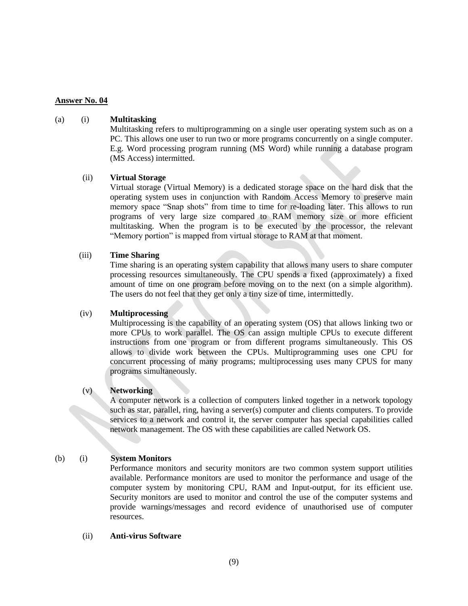#### (a) (i) **Multitasking**

Multitasking refers to multiprogramming on a single user operating system such as on a PC. This allows one user to run two or more programs concurrently on a single computer. E.g. Word processing program running (MS Word) while running a database program (MS Access) intermitted.

#### (ii) **Virtual Storage**

Virtual storage (Virtual Memory) is a dedicated storage space on the hard disk that the operating system uses in conjunction with Random Access Memory to preserve main memory space "Snap shots" from time to time for re-loading later. This allows to run programs of very large size compared to RAM memory size or more efficient multitasking. When the program is to be executed by the processor, the relevant "Memory portion" is mapped from virtual storage to RAM at that moment.

#### (iii) **Time Sharing**

Time sharing is an operating system capability that allows many users to share computer processing resources simultaneously. The CPU spends a fixed (approximately) a fixed amount of time on one program before moving on to the next (on a simple algorithm). The users do not feel that they get only a tiny size of time, intermittedly.

#### (iv) **Multiprocessing**

Multiprocessing is the capability of an operating system (OS) that allows linking two or more CPUs to work parallel. The OS can assign multiple CPUs to execute different instructions from one program or from different programs simultaneously. This OS allows to divide work between the CPUs. Multiprogramming uses one CPU for concurrent processing of many programs; multiprocessing uses many CPUS for many programs simultaneously.

#### (v) **Networking**

A computer network is a collection of computers linked together in a network topology such as star, parallel, ring, having a server(s) computer and clients computers. To provide services to a network and control it, the server computer has special capabilities called network management. The OS with these capabilities are called Network OS.

#### (b) (i) **System Monitors**

Performance monitors and security monitors are two common system support utilities available. Performance monitors are used to monitor the performance and usage of the computer system by monitoring CPU, RAM and Input-output, for its efficient use. Security monitors are used to monitor and control the use of the computer systems and provide warnings/messages and record evidence of unauthorised use of computer resources.

#### (ii) **Anti-virus Software**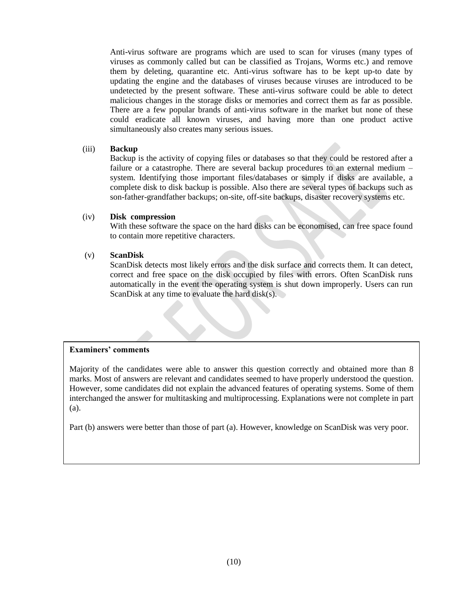Anti-virus software are programs which are used to scan for viruses (many types of viruses as commonly called but can be classified as Trojans, Worms etc.) and remove them by deleting, quarantine etc. Anti-virus software has to be kept up-to date by updating the engine and the databases of viruses because viruses are introduced to be undetected by the present software. These anti-virus software could be able to detect malicious changes in the storage disks or memories and correct them as far as possible. There are a few popular brands of anti-virus software in the market but none of these could eradicate all known viruses, and having more than one product active simultaneously also creates many serious issues.

#### (iii) **Backup**

Backup is the activity of copying files or databases so that they could be restored after a failure or a catastrophe. There are several backup procedures to an external medium – system. Identifying those important files/databases or simply if disks are available, a complete disk to disk backup is possible. Also there are several types of backups such as son-father-grandfather backups; on-site, off-site backups, disaster recovery systems etc.

#### (iv) **Disk compression**

With these software the space on the hard disks can be economised, can free space found to contain more repetitive characters.

#### (v) **ScanDisk**

ScanDisk detects most likely errors and the disk surface and corrects them. It can detect, correct and free space on the disk occupied by files with errors. Often ScanDisk runs automatically in the event the operating system is shut down improperly. Users can run ScanDisk at any time to evaluate the hard disk $(s)$ .

#### **Examiners' comments**

Majority of the candidates were able to answer this question correctly and obtained more than 8 marks. Most of answers are relevant and candidates seemed to have properly understood the question. However, some candidates did not explain the advanced features of operating systems. Some of them interchanged the answer for multitasking and multiprocessing. Explanations were not complete in part (a).

Part (b) answers were better than those of part (a). However, knowledge on ScanDisk was very poor.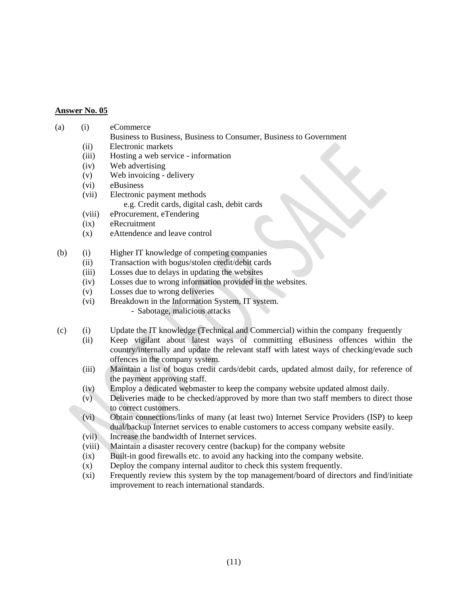#### (a) (i) eCommerce

- Business to Business, Business to Consumer, Business to Government
- (ii) Electronic markets
- (iii) Hosting a web service information
- (iv) Web advertising
- (v) Web invoicing delivery
- (vi) eBusiness
- (vii) Electronic payment methods e.g. Credit cards, digital cash, debit cards
- (viii) eProcurement, eTendering
- (ix) eRecruitment
- (x) eAttendence and leave control
- (b) (i) Higher IT knowledge of competing companies
	- (ii) Transaction with bogus/stolen credit/debit cards
		- (iii) Losses due to delays in updating the websites
		- (iv) Losses due to wrong information provided in the websites.
		- (v) Losses due to wrong deliveries
		- (vi) Breakdown in the Information System, IT system.
			- Sabotage, malicious attacks
- (c) (i) Update the IT knowledge (Technical and Commercial) within the company frequently
	- (ii) Keep vigilant about latest ways of committing eBusiness offences within the country/internally and update the relevant staff with latest ways of checking/evade such offences in the company system.
	- (iii) Maintain a list of bogus credit cards/debit cards, updated almost daily, for reference of the payment approving staff.
	- (iv) Employ a dedicated webmaster to keep the company website updated almost daily.
	- (v) Deliveries made to be checked/approved by more than two staff members to direct those to correct customers.
	- (vi) Obtain connections/links of many (at least two) Internet Service Providers (ISP) to keep dual/backup Internet services to enable customers to access company website easily.
	- (vii) Increase the bandwidth of Internet services.
	- (viii) Maintain a disaster recovery centre (backup) for the company website
	- (ix) Built-in good firewalls etc. to avoid any hacking into the company website.
	- (x) Deploy the company internal auditor to check this system frequently.
	- (xi) Frequently review this system by the top management/board of directors and find/initiate improvement to reach international standards.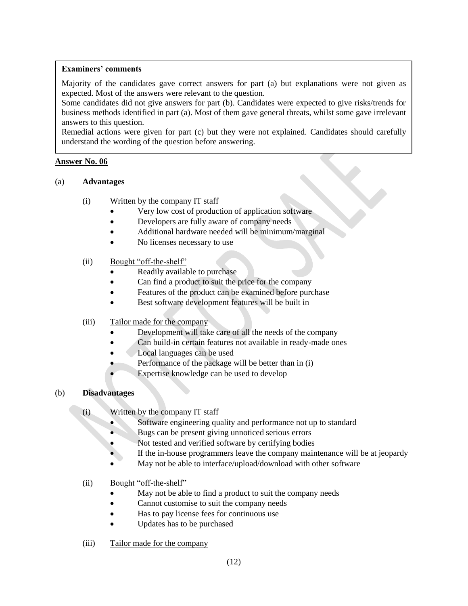#### **Examiners' comments**

Majority of the candidates gave correct answers for part (a) but explanations were not given as expected. Most of the answers were relevant to the question.

Some candidates did not give answers for part (b). Candidates were expected to give risks/trends for business methods identified in part (a). Most of them gave general threats, whilst some gave irrelevant answers to this question.

Remedial actions were given for part (c) but they were not explained. Candidates should carefully understand the wording of the question before answering.

#### **Answer No. 06**

#### (a) **Advantages**

- (i) Written by the company IT staff
	- Very low cost of production of application software
	- Developers are fully aware of company needs
	- Additional hardware needed will be minimum/marginal
	- No licenses necessary to use

#### (ii) Bought "off-the-shelf"

- Readily available to purchase
- Can find a product to suit the price for the company
- Features of the product can be examined before purchase
- Best software development features will be built in

#### (iii) Tailor made for the company

- Development will take care of all the needs of the company
- Can build-in certain features not available in ready-made ones
- Local languages can be used
- Performance of the package will be better than in (i)
- Expertise knowledge can be used to develop

#### (b) **Disadvantages**

- (i) Written by the company IT staff
	- Software engineering quality and performance not up to standard
	- Bugs can be present giving unnoticed serious errors
	- Not tested and verified software by certifying bodies
	- If the in-house programmers leave the company maintenance will be at jeopardy
	- May not be able to interface/upload/download with other software
- (ii) Bought "off-the-shelf"
	- May not be able to find a product to suit the company needs
	- Cannot customise to suit the company needs
	- Has to pay license fees for continuous use
	- Updates has to be purchased
- (iii) Tailor made for the company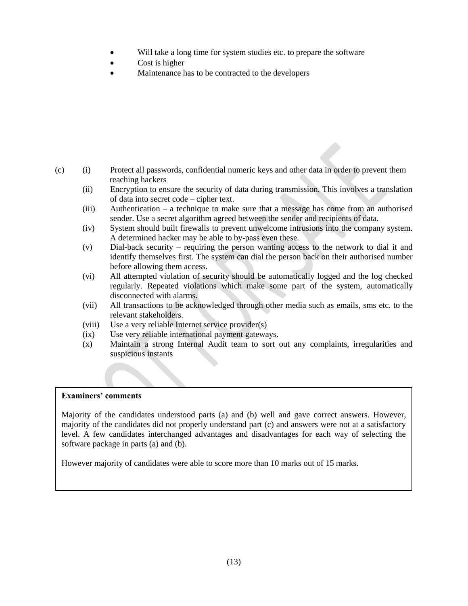- Will take a long time for system studies etc. to prepare the software
- Cost is higher
- Maintenance has to be contracted to the developers

- (c) (i) Protect all passwords, confidential numeric keys and other data in order to prevent them reaching hackers
	- (ii) Encryption to ensure the security of data during transmission. This involves a translation of data into secret code – cipher text.
	- (iii) Authentication a technique to make sure that a message has come from an authorised sender. Use a secret algorithm agreed between the sender and recipients of data.
	- (iv) System should built firewalls to prevent unwelcome intrusions into the company system. A determined hacker may be able to by-pass even these.
	- (v) Dial-back security requiring the person wanting access to the network to dial it and identify themselves first. The system can dial the person back on their authorised number before allowing them access.
	- (vi) All attempted violation of security should be automatically logged and the log checked regularly. Repeated violations which make some part of the system, automatically disconnected with alarms.
	- (vii) All transactions to be acknowledged through other media such as emails, sms etc. to the relevant stakeholders.
	- (viii) Use a very reliable Internet service provider(s)
	- (ix) Use very reliable international payment gateways.
	- (x) Maintain a strong Internal Audit team to sort out any complaints, irregularities and suspicious instants

#### **Examiners' comments**

Majority of the candidates understood parts (a) and (b) well and gave correct answers. However, majority of the candidates did not properly understand part (c) and answers were not at a satisfactory level. A few candidates interchanged advantages and disadvantages for each way of selecting the software package in parts (a) and (b).

However majority of candidates were able to score more than 10 marks out of 15 marks.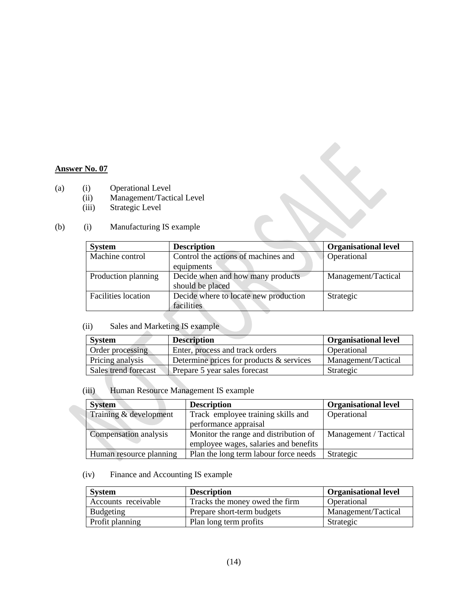- (a) (i) Operational Level
	- (ii) Management/Tactical Level<br>(iii) Strategic Level
		- Strategic Level

#### (b) (i) Manufacturing IS example

| <b>System</b>              | <b>Description</b>                    | <b>Organisational level</b> |
|----------------------------|---------------------------------------|-----------------------------|
| Machine control            | Control the actions of machines and   | Operational                 |
|                            | equipments                            |                             |
| Production planning        | Decide when and how many products     | Management/Tactical         |
|                            | should be placed                      |                             |
| <b>Facilities</b> location | Decide where to locate new production | Strategic                   |
|                            | facilities                            |                             |

### (ii) Sales and Marketing IS example

| <b>System</b>        | <b>Description</b>                       | <b>Organisational level</b> |
|----------------------|------------------------------------------|-----------------------------|
| Order processing     | Enter, process and track orders          | Operational                 |
| Pricing analysis     | Determine prices for products & services | Management/Tactical         |
| Sales trend forecast | Prepare 5 year sales forecast            | Strategic                   |

#### (iii) Human Resource Management IS example

| <b>System</b>           | <b>Description</b>                    | <b>Organisational level</b> |
|-------------------------|---------------------------------------|-----------------------------|
| Training & development  | Track employee training skills and    | Operational                 |
|                         | performance appraisal                 |                             |
| Compensation analysis   | Monitor the range and distribution of | Management / Tactical       |
|                         | employee wages, salaries and benefits |                             |
| Human resource planning | Plan the long term labour force needs | Strategic                   |

### (iv) Finance and Accounting IS example

| <b>System</b>       | <b>Description</b>             | <b>Organisational level</b> |
|---------------------|--------------------------------|-----------------------------|
| Accounts receivable | Tracks the money owed the firm | Operational                 |
| Budgeting           | Prepare short-term budgets     | Management/Tactical         |
| Profit planning     | Plan long term profits         | Strategic                   |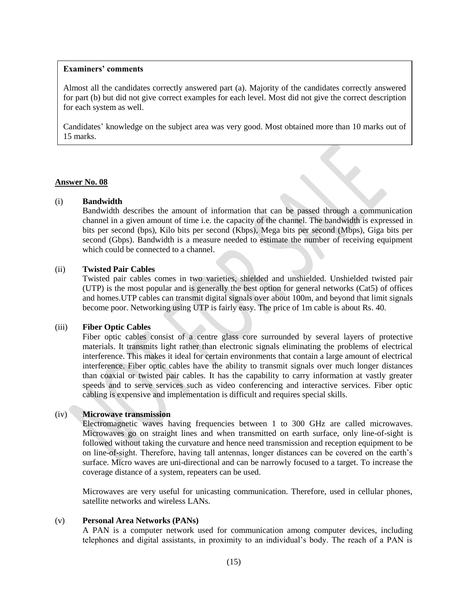#### **Examiners' comments**

Almost all the candidates correctly answered part (a). Majority of the candidates correctly answered for part (b) but did not give correct examples for each level. Most did not give the correct description for each system as well.

Candidates' knowledge on the subject area was very good. Most obtained more than 10 marks out of 15 marks.

#### **Answer No. 08**

#### (i) **Bandwidth**

Bandwidth describes the amount of information that can be passed through a communication channel in a given amount of time i.e. the capacity of the channel. The bandwidth is expressed in bits per second (bps), Kilo bits per second (Kbps), Mega bits per second (Mbps), Giga bits per second (Gbps). Bandwidth is a measure needed to estimate the number of receiving equipment which could be connected to a channel.

#### (ii) **Twisted Pair Cables**

Twisted pair cables comes in two varieties, shielded and unshielded. Unshielded twisted pair (UTP) is the most popular and is generally the best option for general networks (Cat5) of offices and homes.UTP cables can transmit digital signals over about 100m, and beyond that limit signals become poor. Networking using UTP is fairly easy. The price of 1m cable is about Rs. 40.

#### (iii) **Fiber Optic Cables**

Fiber optic cables consist of a centre glass core surrounded by several layers of protective materials. It transmits light rather than electronic signals eliminating the problems of electrical interference. This makes it ideal for certain environments that contain a large amount of electrical interference. Fiber optic cables have the ability to transmit signals over much longer distances than coaxial or twisted pair cables. It has the capability to carry information at vastly greater speeds and to serve services such as video conferencing and interactive services. Fiber optic cabling is expensive and implementation is difficult and requires special skills.

#### (iv) **Microwave transmission**

Electromagnetic waves having frequencies between 1 to 300 GHz are called microwaves. Microwaves go on straight lines and when transmitted on earth surface, only line-of-sight is followed without taking the curvature and hence need transmission and reception equipment to be on line-of-sight. Therefore, having tall antennas, longer distances can be covered on the earth's surface. Micro waves are uni-directional and can be narrowly focused to a target. To increase the coverage distance of a system, repeaters can be used.

Microwaves are very useful for unicasting communication. Therefore, used in cellular phones, satellite networks and wireless LANs.

#### (v) **Personal Area Networks (PANs)**

A PAN is a computer network used for communication among computer devices, including telephones and digital assistants, in proximity to an individual's body. The reach of a PAN is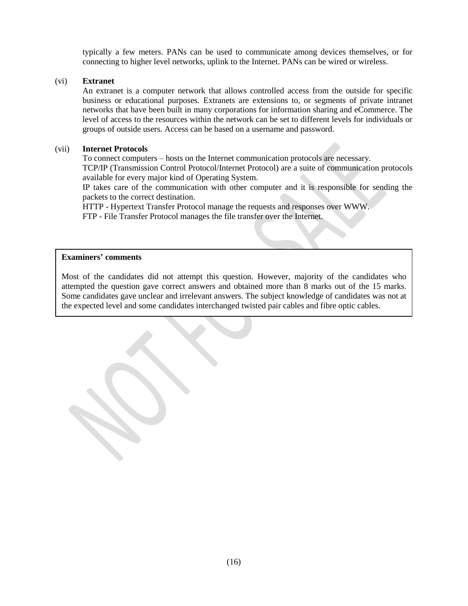typically a few meters. PANs can be used to communicate among devices themselves, or for connecting to higher level networks, uplink to the Internet. PANs can be wired or wireless.

#### (vi) **Extranet**

An extranet is a computer network that allows controlled access from the outside for specific business or educational purposes. Extranets are extensions to, or segments of private intranet networks that have been built in many corporations for information sharing and eCommerce. The level of access to the resources within the network can be set to different levels for individuals or groups of outside users. Access can be based on a username and password.

#### (vii) **Internet Protocols**

To connect computers – hosts on the Internet communication protocols are necessary.

TCP/IP (Transmission Control Protocol/Internet Protocol) are a suite of communication protocols available for every major kind of Operating System.

IP takes care of the communication with other computer and it is responsible for sending the packets to the correct destination.

HTTP - Hypertext Transfer Protocol manage the requests and responses over WWW.

FTP - File Transfer Protocol manages the file transfer over the Internet.

#### **Examiners' comments**

Most of the candidates did not attempt this question. However, majority of the candidates who attempted the question gave correct answers and obtained more than 8 marks out of the 15 marks. Some candidates gave unclear and irrelevant answers. The subject knowledge of candidates was not at the expected level and some candidates interchanged twisted pair cables and fibre optic cables.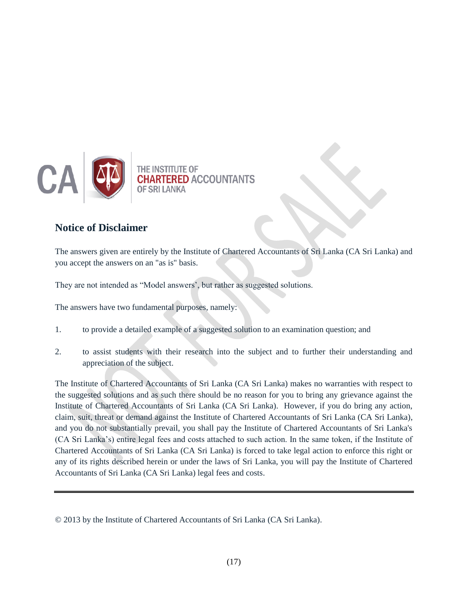

## **Notice of Disclaimer**

The answers given are entirely by the Institute of Chartered Accountants of Sri Lanka (CA Sri Lanka) and you accept the answers on an "as is" basis.

They are not intended as "Model answers', but rather as suggested solutions.

The answers have two fundamental purposes, namely:

- 1. to provide a detailed example of a suggested solution to an examination question; and
- 2. to assist students with their research into the subject and to further their understanding and appreciation of the subject.

The Institute of Chartered Accountants of Sri Lanka (CA Sri Lanka) makes no warranties with respect to the suggested solutions and as such there should be no reason for you to bring any grievance against the Institute of Chartered Accountants of Sri Lanka (CA Sri Lanka). However, if you do bring any action, claim, suit, threat or demand against the Institute of Chartered Accountants of Sri Lanka (CA Sri Lanka), and you do not substantially prevail, you shall pay the Institute of Chartered Accountants of Sri Lanka's (CA Sri Lanka's) entire legal fees and costs attached to such action. In the same token, if the Institute of Chartered Accountants of Sri Lanka (CA Sri Lanka) is forced to take legal action to enforce this right or any of its rights described herein or under the laws of Sri Lanka, you will pay the Institute of Chartered Accountants of Sri Lanka (CA Sri Lanka) legal fees and costs.

<sup>© 2013</sup> by the Institute of Chartered Accountants of Sri Lanka (CA Sri Lanka).